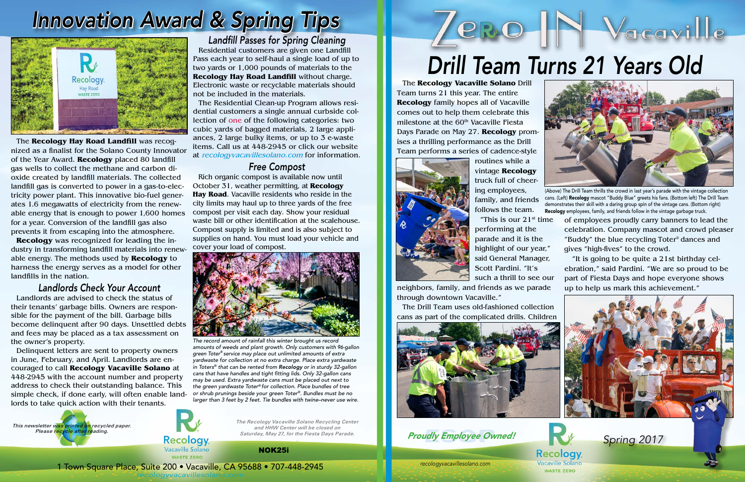*recologyvacavillesolano.com* 1 Town Square Place, Suite 200 • Vacaville, CA 95688 • 707-448-2945 *recologyvacavillesolano.com*

Recology



*The Recology Vacaville Solano Recycling Center and HHW Center will be closed on Saturday, May 27, for the Fiesta Days Parade. .*

The **Recology Hay Road Landfill** was recognized as a finalist for the Solano County Innovator of the Year Award. **Recology** placed 80 landfill gas wells to collect the methane and carbon dioxide created by landfill materials. The collected landfill gas is converted to power in a gas-to-electricity power plant. This innovative bio-fuel generates 1.6 megawatts of electricity from the renewable energy that is enough to power 1,600 homes for a year. Conversion of the landfill gas also prevents it from escaping into the atmosphere.

**Recology** was recognized for leading the industry in transforming landfill materials into renewable energy. The methods used by **Recology** to harness the energy serves as a model for other landfills in the nation.

### *Landlords Check Your Account*

Landlords are advised to check the status of their tenants' garbage bills. Owners are responsible for the payment of the bill. Garbage bills become delinquent after 90 days. Unsettled debts and fees may be placed as a tax assessment on the owner's property.

Delinquent letters are sent to property owners in June, February, and April. Landlords are encouraged to call **Recology Vacaville Solano** at 448-2945 with the account number and property address to check their outstanding balance. This simple check, if done early, will often enable landlords to take quick action with their tenants.

## *Innovation Award & Spring Tips*



# Yacaville *Drill Team Turns 21 Years Old*

*Landfill Passes for Spring Cleaning*

Residential customers are given one Landfill Pass each year to self-haul a single load of up to two yards or 1,000 pounds of materials to the **Recology Hay Road Landfill** without charge. Electronic waste or recyclable materials should not be included in the materials.

> "This is our  $21<sup>st</sup>$  time performing at the parade and it is the highlight of our year," said General Manager, Scott Pardini. "It's such a thrill to see our

The Residential Clean-up Program allows residential customers a single annual curbside collection of one of the following categories: two cubic yards of bagged materials, 2 large appliances, 2 large bulky items, or up to 3 e-waste items. Call us at 448-2945 or click our website at recologyvacavillesolano.com for information.

### *Free Compost*

Rich organic compost is available now until October 31, weather permitting, at **Recology Hay Road**. Vacaville residents who reside in the city limits may haul up to three yards of the free compost per visit each day. Show your residual waste bill or other identification at the scalehouse. Compost supply is limited and is also subject to supplies on hand. You must load your vehicle and cover your load of compost.



*The record amount of rainfall this winter brought us record amounts of weeds and plant growth. Only customers with 96-gallon green Toter® service may place out unlimited amounts of extra yardwaste for collection at no extra charge. Place extra yardwaste in Toters® that can be rented from Recology or in sturdy 32-gallon cans that have handles and tight fitting lids. Only 32-gallon cans may be used. Extra yardwaste cans must be placed out next to the green yardwaste Toter® for collection. Place bundles of tree or shrub prunings beside your green Toter®. Bundles must be no larger than 3 feet by 2 feet. Tie bundles with twine–never use wire.*

The **Recology Vacaville Solano** Drill Team turns 21 this year. The entire **Recology** family hopes all of Vacaville comes out to help them celebrate this milestone at the 60<sup>th</sup> Vacaville Fiesta Days Parade on May 27. **Recology** promises a thrilling performance as the Drill Team performs a series of cadence-style



routines while a vintage **Recology** truck full of cheering employees, family, and friends follows the team.

**PRO-H** 

neighbors, family, and friends as we parade through downtown Vacaville."

The Drill Team uses old-fashioned collection cans as part of the complicated drills. Children



**Proudly Employee Owned!** Spring 2017



(Above) The Drill Team thrills the crowd in last year's parade with the vintage collection cans. (Left) Recology mascot "Buddy Blue" greets his fans. (Bottom left) The Drill Team demonstrates their skill with a daring group spin of the vintage cans. (Bottom right) Recology employees, family, and friends follow in the vintage garbage truck.

of employees proudly carry banners to lead the celebration. Company mascot and crowd pleaser "Buddy" the blue recycling Toter® dances and gives "high-fives" to the crowd.

 "It is going to be quite a 21st birthday celebration," said Pardini. "We are so proud to be part of Fiesta Days and hope everyone shows up to help us mark this achievement."





#### NOK25i